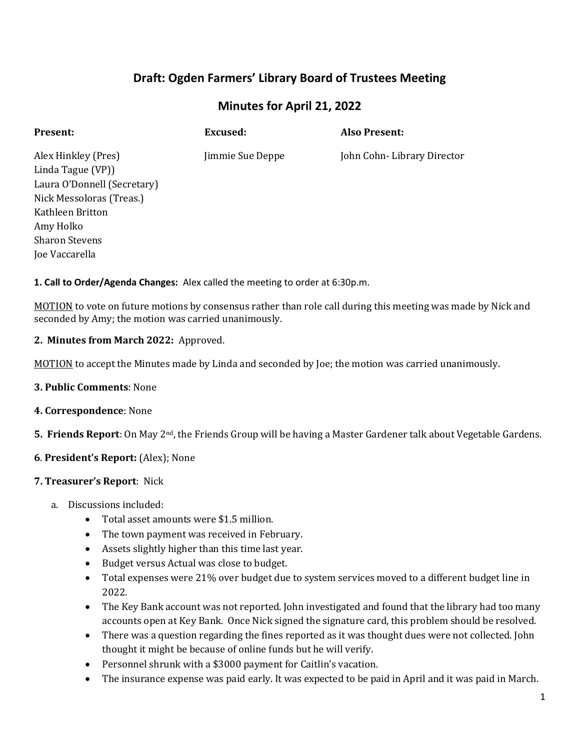# Draft: Ogden Farmers' Library Board of Trustees Meeting

## Minutes for April 21, 2022

| <b>Present:</b>             | Excused:         | <b>Also Present:</b>       |
|-----------------------------|------------------|----------------------------|
| Alex Hinkley (Pres)         | Jimmie Sue Deppe | John Cohn-Library Director |
| Linda Tague (VP))           |                  |                            |
| Laura O'Donnell (Secretary) |                  |                            |
| Nick Messoloras (Treas.)    |                  |                            |
| Kathleen Britton            |                  |                            |
| Amy Holko                   |                  |                            |
| <b>Sharon Stevens</b>       |                  |                            |
| Joe Vaccarella              |                  |                            |

1. Call to Order/Agenda Changes: Alex called the meeting to order at 6:30p.m.

MOTION to vote on future motions by consensus rather than role call during this meeting was made by Nick and seconded by Amy; the motion was carried unanimously.

#### 2. Minutes from March 2022: Approved.

MOTION to accept the Minutes made by Linda and seconded by Joe; the motion was carried unanimously.

#### 3. Public Comments: None

#### 4. Correspondence: None

5. Friends Report: On May  $2<sup>nd</sup>$ , the Friends Group will be having a Master Gardener talk about Vegetable Gardens.

#### 6. President's Report: (Alex); None

#### 7. Treasurer's Report: Nick

- a. Discussions included:
	- Total asset amounts were \$1.5 million.
	- The town payment was received in February.
	- Assets slightly higher than this time last year.
	- Budget versus Actual was close to budget.
	- Total expenses were 21% over budget due to system services moved to a different budget line in 2022.
	- The Key Bank account was not reported. John investigated and found that the library had too many accounts open at Key Bank. Once Nick signed the signature card, this problem should be resolved.
	- There was a question regarding the fines reported as it was thought dues were not collected. John thought it might be because of online funds but he will verify.
	- Personnel shrunk with a \$3000 payment for Caitlin's vacation.
	- The insurance expense was paid early. It was expected to be paid in April and it was paid in March.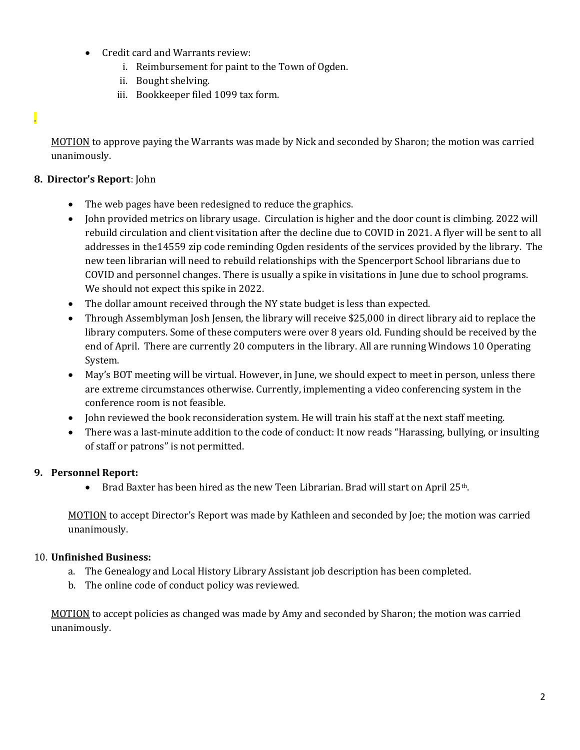- Credit card and Warrants review:
	- i. Reimbursement for paint to the Town of Ogden.
	- ii. Bought shelving.
	- iii. Bookkeeper filed 1099 tax form.

MOTION to approve paying the Warrants was made by Nick and seconded by Sharon; the motion was carried unanimously.

## 8. Director's Report: John

.

- The web pages have been redesigned to reduce the graphics.
- John provided metrics on library usage. Circulation is higher and the door count is climbing. 2022 will rebuild circulation and client visitation after the decline due to COVID in 2021. A flyer will be sent to all addresses in the14559 zip code reminding Ogden residents of the services provided by the library. The new teen librarian will need to rebuild relationships with the Spencerport School librarians due to COVID and personnel changes. There is usually a spike in visitations in June due to school programs. We should not expect this spike in 2022.
- The dollar amount received through the NY state budget is less than expected.
- Through Assemblyman Josh Jensen, the library will receive \$25,000 in direct library aid to replace the library computers. Some of these computers were over 8 years old. Funding should be received by the end of April. There are currently 20 computers in the library. All are running Windows 10 Operating System.
- May's BOT meeting will be virtual. However, in June, we should expect to meet in person, unless there are extreme circumstances otherwise. Currently, implementing a video conferencing system in the conference room is not feasible.
- John reviewed the book reconsideration system. He will train his staff at the next staff meeting.
- There was a last-minute addition to the code of conduct: It now reads "Harassing, bullying, or insulting of staff or patrons" is not permitted.

#### 9. Personnel Report:

**•** Brad Baxter has been hired as the new Teen Librarian. Brad will start on April 25<sup>th</sup>.

MOTION to accept Director's Report was made by Kathleen and seconded by Joe; the motion was carried unanimously.

## 10. Unfinished Business:

- a. The Genealogy and Local History Library Assistant job description has been completed.
- b. The online code of conduct policy was reviewed.

MOTION to accept policies as changed was made by Amy and seconded by Sharon; the motion was carried unanimously.